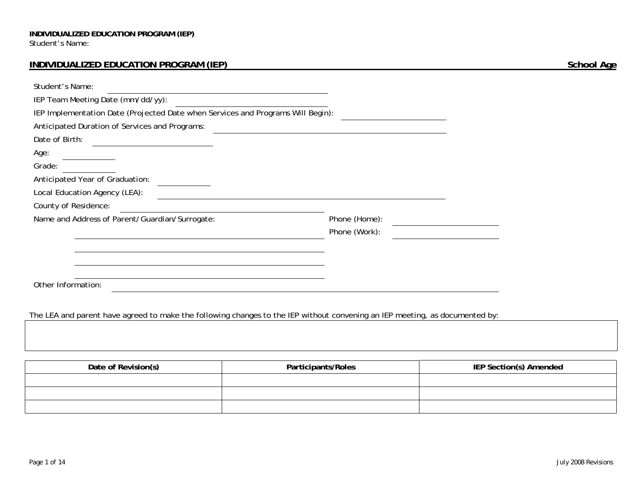# **INDIVIDUALIZED EDUCATION PROGRAM (IEP)** School Age

| Student's Name:                                                                 |               |
|---------------------------------------------------------------------------------|---------------|
| IEP Team Meeting Date (mm/dd/yy):                                               |               |
| IEP Implementation Date (Projected Date when Services and Programs Will Begin): |               |
| Anticipated Duration of Services and Programs:                                  |               |
| Date of Birth:                                                                  |               |
| Age:                                                                            |               |
| Grade:                                                                          |               |
| Anticipated Year of Graduation:                                                 |               |
| Local Education Agency (LEA):                                                   |               |
| County of Residence:                                                            |               |
| Name and Address of Parent/Guardian/Surrogate:                                  | Phone (Home): |
|                                                                                 | Phone (Work): |
|                                                                                 |               |
|                                                                                 |               |
|                                                                                 |               |
| Other Information:                                                              |               |
|                                                                                 |               |

| Date of Revision(s) | Participants/Roles | IEP Section(s) Amended |
|---------------------|--------------------|------------------------|
|                     |                    |                        |
|                     |                    |                        |
|                     |                    |                        |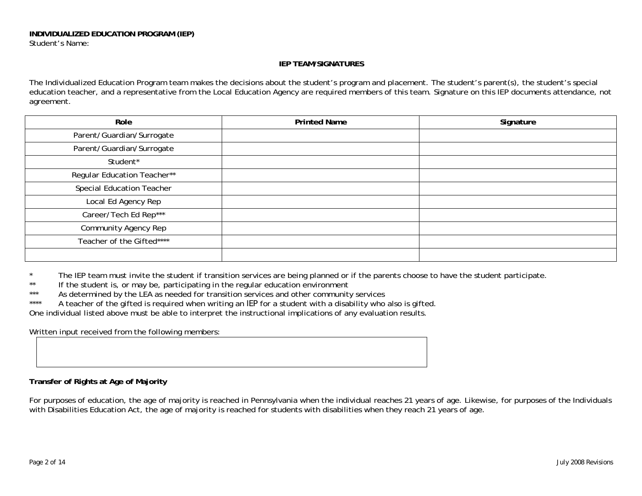### **IEP TEAM/SIGNATURES**

The Individualized Education Program team makes the decisions about the student's program and placement. The student's parent(s), the student's special education teacher, and a representative from the Local Education Agency are required members of this team. Signature on this IEP documents attendance, not agreement.

| Role                             | <b>Printed Name</b> | Signature |
|----------------------------------|---------------------|-----------|
| Parent/Guardian/Surrogate        |                     |           |
| Parent/Guardian/Surrogate        |                     |           |
| Student*                         |                     |           |
| Regular Education Teacher**      |                     |           |
| <b>Special Education Teacher</b> |                     |           |
| Local Ed Agency Rep              |                     |           |
| Career/Tech Ed Rep***            |                     |           |
| Community Agency Rep             |                     |           |
| Teacher of the Gifted****        |                     |           |
|                                  |                     |           |

\* The IEP team must invite the student if transition services are being planned or if the parents choose to have the student participate.

\*\* If the student is, or may be, participating in the regular education environment<br>\*\*\* As determined by the LEA as peodod for transition services and other community

\*\*\* As determined by the LEA as needed for transition services and other community services

A teacher of the gifted is required when writing an *IEP* for a student with a disability who also is gifted.

One individual listed above must be able to interpret the instructional implications of any evaluation results.

Written input received from the following members:

### **Transfer of Rights at Age of Majority**

For purposes of education, the age of majority is reached in Pennsylvania when the individual reaches 21 years of age. Likewise, for purposes of the Individuals with Disabilities Education Act, the age of majority is reached for students with disabilities when they reach 21 years of age.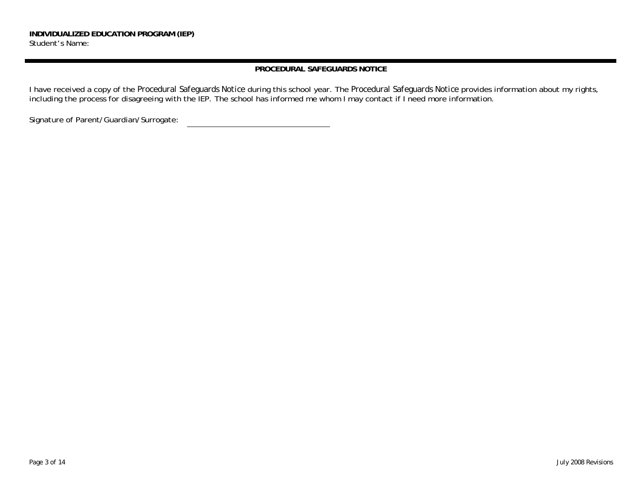### **PROCEDURAL SAFEGUARDS NOTICE**

I have received a copy of the *Procedural Safeguards Notice* during this school year. The *Procedural Safeguards Notice* provides information about my rights, including the process for disagreeing with the IEP. The school has informed me whom I may contact if I need more information.

Signature of Parent/Guardian/Surrogate: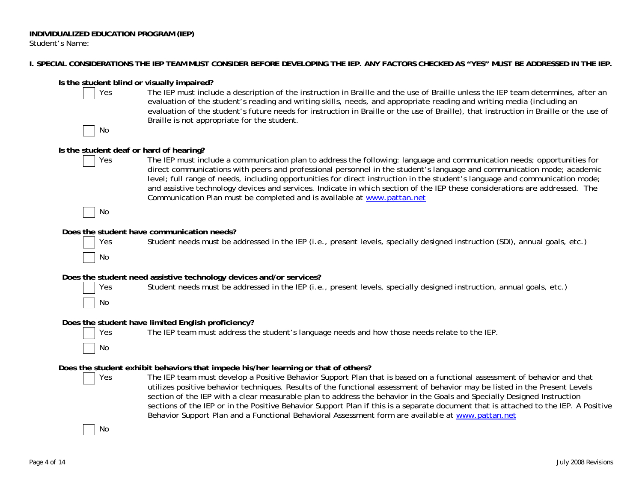### **I. SPECIAL CONSIDERATIONS THE IEP TEAM MUST CONSIDER BEFORE DEVELOPING THE IEP. ANY FACTORS CHECKED AS "YES" MUST BE ADDRESSED IN THE IEP.**

| Yes<br>No | Is the student blind or visually impaired?<br>The IEP must include a description of the instruction in Braille and the use of Braille unless the IEP team determines, after an<br>evaluation of the student's reading and writing skills, needs, and appropriate reading and writing media (including an<br>evaluation of the student's future needs for instruction in Braille or the use of Braille), that instruction in Braille or the use of<br>Braille is not appropriate for the student.                                                                                                                |
|-----------|-----------------------------------------------------------------------------------------------------------------------------------------------------------------------------------------------------------------------------------------------------------------------------------------------------------------------------------------------------------------------------------------------------------------------------------------------------------------------------------------------------------------------------------------------------------------------------------------------------------------|
|           | Is the student deaf or hard of hearing?                                                                                                                                                                                                                                                                                                                                                                                                                                                                                                                                                                         |
| Yes       | The IEP must include a communication plan to address the following: language and communication needs; opportunities for<br>direct communications with peers and professional personnel in the student's language and communication mode; academic<br>level; full range of needs, including opportunities for direct instruction in the student's language and communication mode;<br>and assistive technology devices and services. Indicate in which section of the IEP these considerations are addressed. The<br>Communication Plan must be completed and is available at www.pattan.net                     |
| No        |                                                                                                                                                                                                                                                                                                                                                                                                                                                                                                                                                                                                                 |
| Yes       | Does the student have communication needs?<br>Student needs must be addressed in the IEP (i.e., present levels, specially designed instruction (SDI), annual goals, etc.)                                                                                                                                                                                                                                                                                                                                                                                                                                       |
| No        |                                                                                                                                                                                                                                                                                                                                                                                                                                                                                                                                                                                                                 |
| Yes       | Does the student need assistive technology devices and/or services?<br>Student needs must be addressed in the IEP (i.e., present levels, specially designed instruction, annual goals, etc.)                                                                                                                                                                                                                                                                                                                                                                                                                    |
| No        |                                                                                                                                                                                                                                                                                                                                                                                                                                                                                                                                                                                                                 |
| Yes<br>No | Does the student have limited English proficiency?<br>The IEP team must address the student's language needs and how those needs relate to the IEP.                                                                                                                                                                                                                                                                                                                                                                                                                                                             |
|           |                                                                                                                                                                                                                                                                                                                                                                                                                                                                                                                                                                                                                 |
| Yes       | Does the student exhibit behaviors that impede his/her learning or that of others?<br>The IEP team must develop a Positive Behavior Support Plan that is based on a functional assessment of behavior and that<br>utilizes positive behavior techniques. Results of the functional assessment of behavior may be listed in the Present Levels<br>section of the IEP with a clear measurable plan to address the behavior in the Goals and Specially Designed Instruction<br>sections of the IEP or in the Positive Behavior Support Plan if this is a separate document that is attached to the IEP. A Positive |
|           | Behavior Support Plan and a Functional Behavioral Assessment form are available at www.pattan.net                                                                                                                                                                                                                                                                                                                                                                                                                                                                                                               |
| No        |                                                                                                                                                                                                                                                                                                                                                                                                                                                                                                                                                                                                                 |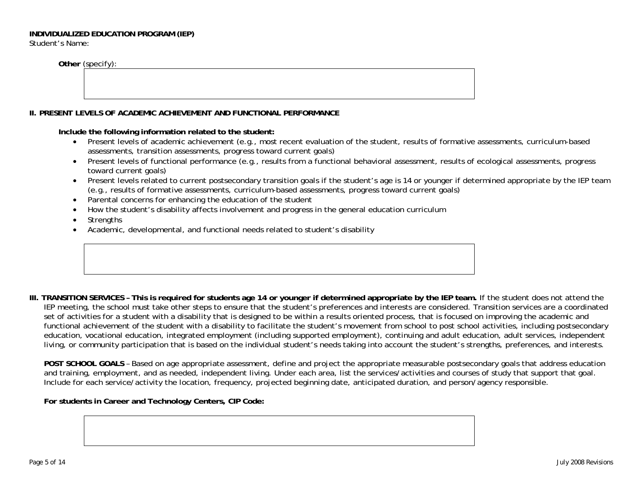**Other** (specify):

### **II. PRESENT LEVELS OF ACADEMIC ACHIEVEMENT AND FUNCTIONAL PERFORMANCE**

**Include the following information related to the student:** 

- Present levels of academic achievement (e.g., most recent evaluation of the student, results of formative assessments, curriculum-based assessments, transition assessments, progress toward current goals)
- Present levels of functional performance (e.g., results from a functional behavioral assessment, results of ecological assessments, progress toward current goals)
- Present levels related to current postsecondary transition goals if the student's age is 14 or younger if determined appropriate by the IEP team (e.g., results of formative assessments, curriculum-based assessments, progress toward current goals)
- •Parental concerns for enhancing the education of the student
- •How the student's disability affects involvement and progress in the general education curriculum
- •**Strengths**
- •Academic, developmental, and functional needs related to student's disability

**III. TRANSITION SERVICES – This is required for students age 14 or younger if determined appropriate by the IEP team.** If the student does not attend the IEP meeting, the school must take other steps to ensure that the student's preferences and interests are considered. Transition services are a coordinated set of activities for a student with a disability that is designed to be within a results oriented process, that is focused on improving the academic and functional achievement of the student with a disability to facilitate the student's movement from school to post school activities, including postsecondary education, vocational education, integrated employment (including supported employment), continuing and adult education, adult services, independent living, or community participation that is based on the individual student's needs taking into account the student's strengths, preferences, and interests.

**POST SCHOOL GOALS** – Based on age appropriate assessment, define and project the appropriate measurable postsecondary goals that address education and training, employment, and as needed, independent living. Under each area, list the services/activities and courses of study that support that goal. Include for each service/activity the location, frequency, projected beginning date, anticipated duration, and person/agency responsible.

**For students in Career and Technology Centers, CIP Code:**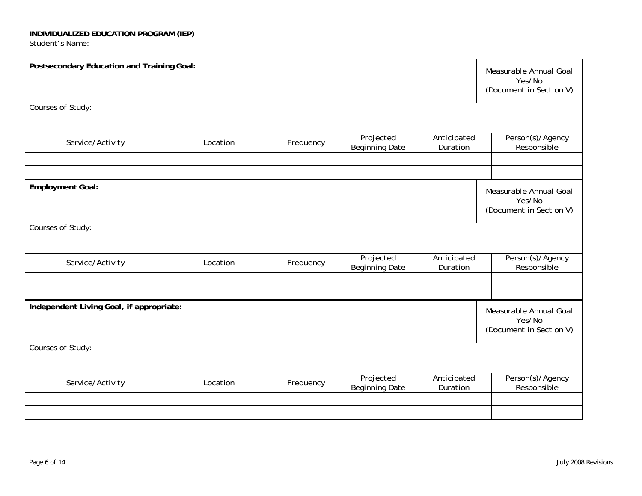| Postsecondary Education and Training Goal: |          |           |                                    |                         |                                  |
|--------------------------------------------|----------|-----------|------------------------------------|-------------------------|----------------------------------|
|                                            |          |           |                                    |                         | Measurable Annual Goal           |
|                                            |          |           |                                    |                         | Yes/No                           |
|                                            |          |           |                                    |                         | (Document in Section V)          |
| Courses of Study:                          |          |           |                                    |                         |                                  |
|                                            |          |           |                                    |                         |                                  |
| Service/Activity                           | Location | Frequency | Projected<br><b>Beginning Date</b> | Anticipated<br>Duration | Person(s)/Agency<br>Responsible  |
|                                            |          |           |                                    |                         |                                  |
|                                            |          |           |                                    |                         |                                  |
| <b>Employment Goal:</b>                    |          |           |                                    |                         | Measurable Annual Goal<br>Yes/No |
|                                            |          |           |                                    |                         | (Document in Section V)          |
| Courses of Study:                          |          |           |                                    |                         |                                  |
|                                            |          |           |                                    |                         |                                  |
| Service/Activity                           | Location | Frequency | Projected<br><b>Beginning Date</b> | Anticipated<br>Duration | Person(s)/Agency<br>Responsible  |
|                                            |          |           |                                    |                         |                                  |
|                                            |          |           |                                    |                         |                                  |
| Independent Living Goal, if appropriate:   |          |           |                                    |                         |                                  |
|                                            |          |           |                                    |                         | Measurable Annual Goal<br>Yes/No |
|                                            |          |           |                                    |                         | (Document in Section V)          |
| Courses of Study:                          |          |           |                                    |                         |                                  |
|                                            |          |           |                                    |                         |                                  |
| Service/Activity                           | Location | Frequency | Projected<br><b>Beginning Date</b> | Anticipated<br>Duration | Person(s)/Agency<br>Responsible  |
|                                            |          |           |                                    |                         |                                  |
|                                            |          |           |                                    |                         |                                  |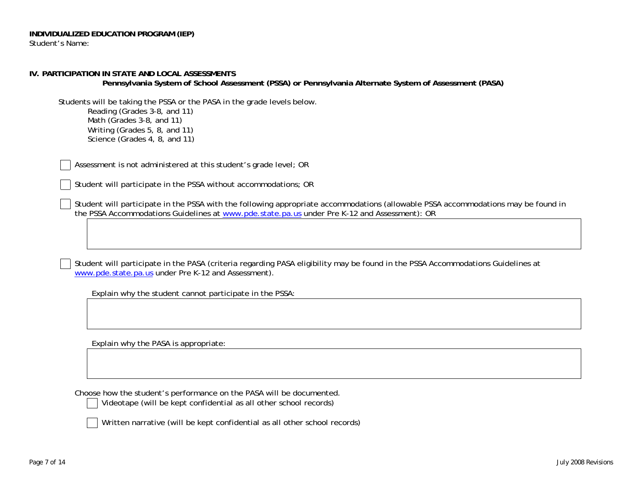**IV. PARTICIPATION IN STATE AND LOCAL ASSESSMENTS** 

| Pennsylvania System of School Assessment (PSSA) or Pennsylvania Alternate System of Assessment (PASA)                                                                                                                             |
|-----------------------------------------------------------------------------------------------------------------------------------------------------------------------------------------------------------------------------------|
| Students will be taking the PSSA or the PASA in the grade levels below.<br>Reading (Grades 3-8, and 11)<br>Math (Grades 3-8, and 11)<br>Writing (Grades 5, 8, and 11)<br>Science (Grades 4, 8, and 11)                            |
| Assessment is not administered at this student's grade level; OR                                                                                                                                                                  |
| Student will participate in the PSSA without accommodations; OR                                                                                                                                                                   |
| Student will participate in the PSSA with the following appropriate accommodations (allowable PSSA accommodations may be found in<br>the PSSA Accommodations Guidelines at www.pde.state.pa.us under Pre K-12 and Assessment): OR |
|                                                                                                                                                                                                                                   |

Student will participate in the PASA (criteria regarding PASA eligibility may be found in the PSSA Accommodations Guidelines at [www.pde.state.pa.us](http://www.pde.state.pa.us/) under Pre K-12 and Assessment).

Explain why the student cannot participate in the PSSA:

Explain why the PASA is appropriate:

Choose how the student's performance on the PASA will be documented.

Videotape (will be kept confidential as all other school records)

Written narrative (will be kept confidential as all other school records)

 $\mathcal{L}$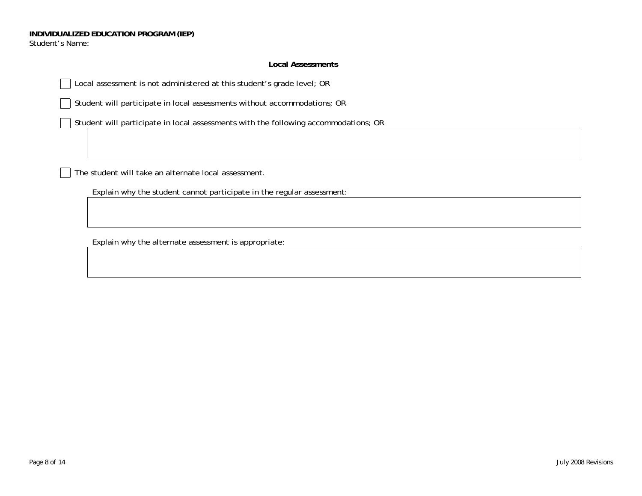$\overline{\phantom{0}}$ 

### **Local Assessments**

Local assessment is not administered at this student's grade level; OR

Student will participate in local assessments without accommodations; OR  $\mathcal{L}$ 

Student will participate in local assessments with the following accommodations; OR

The student will take an alternate local assessment.

Explain why the student cannot participate in the regular assessment:

Explain why the alternate assessment is appropriate: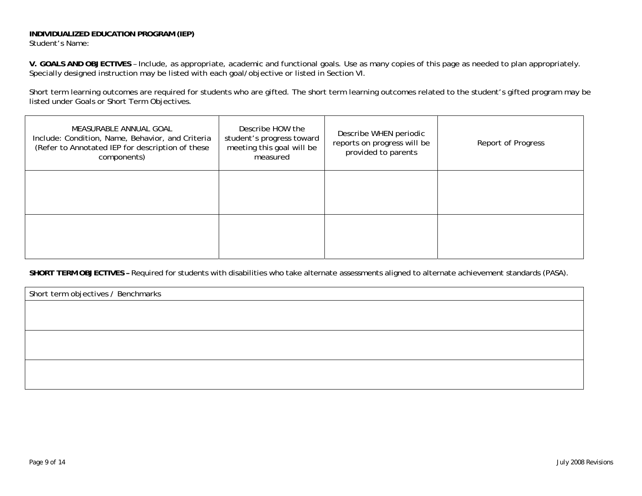**V. GOALS AND OBJECTIVES** – Include, as appropriate, academic and functional goals. Use as many copies of this page as needed to plan appropriately. Specially designed instruction may be listed with each goal/objective or listed in Section VI.

Short term learning outcomes are required for students who are gifted. The short term learning outcomes related to the student's gifted program may be listed under Goals or Short Term Objectives.

| MEASURABLE ANNUAL GOAL<br>Include: Condition, Name, Behavior, and Criteria<br>(Refer to Annotated IEP for description of these<br>components) | Describe HOW the<br>student's progress toward<br>meeting this goal will be<br>measured | Describe WHEN periodic<br>reports on progress will be<br>provided to parents | Report of Progress |
|-----------------------------------------------------------------------------------------------------------------------------------------------|----------------------------------------------------------------------------------------|------------------------------------------------------------------------------|--------------------|
|                                                                                                                                               |                                                                                        |                                                                              |                    |
|                                                                                                                                               |                                                                                        |                                                                              |                    |

**SHORT TERM OBJECTIVES –** Required for students with disabilities who take alternate assessments aligned to alternate achievement standards (PASA).

| Short term objectives / Benchmarks |  |  |  |
|------------------------------------|--|--|--|
|                                    |  |  |  |
|                                    |  |  |  |
|                                    |  |  |  |
|                                    |  |  |  |
|                                    |  |  |  |
|                                    |  |  |  |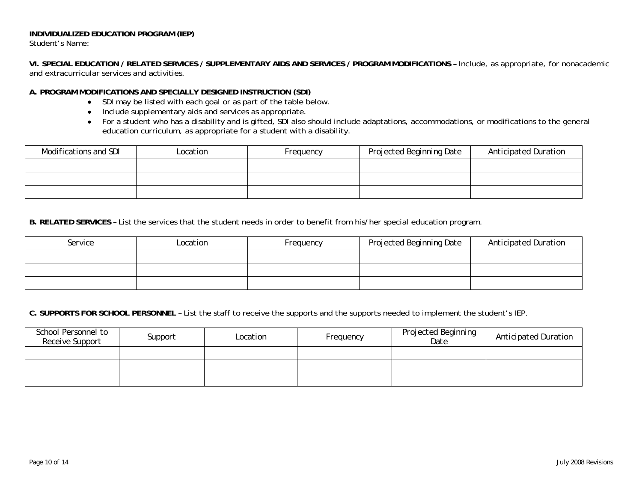**VI. SPECIAL EDUCATION / RELATED SERVICES / SUPPLEMENTARY AIDS AND SERVICES / PROGRAM MODIFICATIONS –** Include, as appropriate, for nonacademic and extracurricular services and activities.

### **A. PROGRAM MODIFICATIONS AND SPECIALLY DESIGNED INSTRUCTION (SDI)**

- SDI may be listed with each goal or as part of the table below.
- Include supplementary aids and services as appropriate.
- For a student who has a disability and is gifted, SDI also should include adaptations, accommodations, or modifications to the general education curriculum, as appropriate for a student with a disability.

| Modifications and SDI | Location | Frequency | Projected Beginning Date | <b>Anticipated Duration</b> |
|-----------------------|----------|-----------|--------------------------|-----------------------------|
|                       |          |           |                          |                             |
|                       |          |           |                          |                             |
|                       |          |           |                          |                             |

**B. RELATED SERVICES –** List the services that the student needs in order to benefit from his/her special education program.

| Service | Location | Frequency | Projected Beginning Date | Anticipated Duration |
|---------|----------|-----------|--------------------------|----------------------|
|         |          |           |                          |                      |
|         |          |           |                          |                      |
|         |          |           |                          |                      |

**C. SUPPORTS FOR SCHOOL PERSONNEL –** List the staff to receive the supports and the supports needed to implement the student's IEP.

| School Personnel to<br>Receive Support | Support | Location | Frequency | Projected Beginning<br>Date | <b>Anticipated Duration</b> |
|----------------------------------------|---------|----------|-----------|-----------------------------|-----------------------------|
|                                        |         |          |           |                             |                             |
|                                        |         |          |           |                             |                             |
|                                        |         |          |           |                             |                             |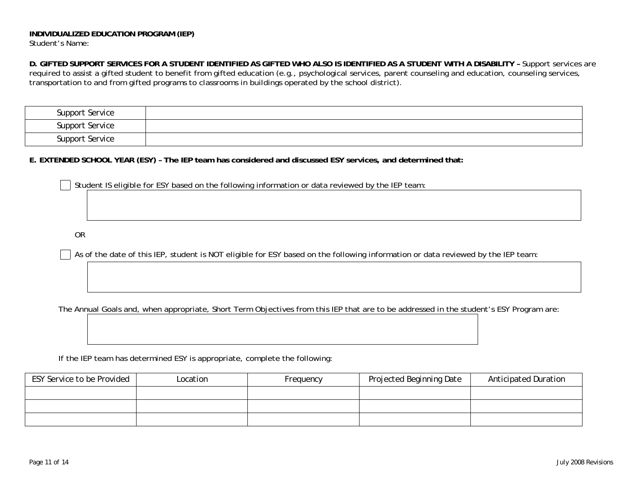**D. GIFTED SUPPORT SERVICES FOR A STUDENT IDENTIFIED AS GIFTED WHO ALSO IS IDENTIFIED AS A STUDENT WITH A DISABILITY –** Support services are required to assist a gifted student to benefit from gifted education (e.g., psychological services, parent counseling and education, counseling services, transportation to and from gifted programs to classrooms in buildings operated by the school district).

| <b>Support Service</b> |  |
|------------------------|--|
| <b>Support Service</b> |  |
| <b>Support Service</b> |  |

#### **E. EXTENDED SCHOOL YEAR (ESY) – The IEP team has considered and discussed ESY services, and determined that:**

Student IS eligible for ESY based on the following information or data reviewed by the IEP team:

OR

As of the date of this IEP, student is NOT eligible for ESY based on the following information or data reviewed by the IEP team:

The Annual Goals and, when appropriate, Short Term Objectives from this IEP that are to be addressed in the student's ESY Program are:

If the IEP team has determined ESY is appropriate, complete the following:

| <b>ESY Service to be Provided</b> | Location | Frequency | Projected Beginning Date | Anticipated Duration |
|-----------------------------------|----------|-----------|--------------------------|----------------------|
|                                   |          |           |                          |                      |
|                                   |          |           |                          |                      |
|                                   |          |           |                          |                      |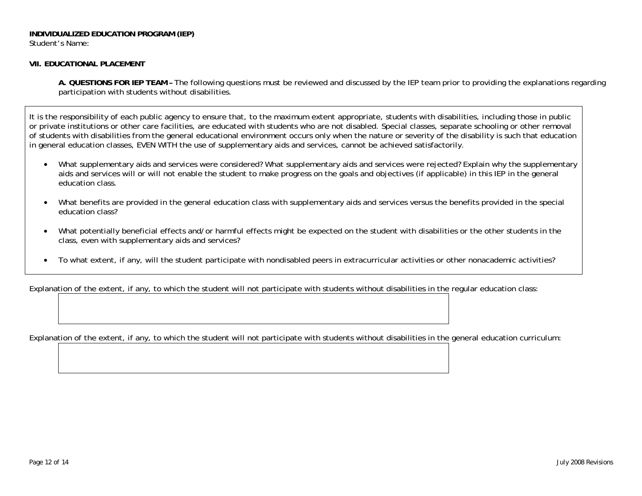### **VII. EDUCATIONAL PLACEMENT**

**A. QUESTIONS FOR IEP TEAM –** The following questions must be reviewed and discussed by the IEP team prior to providing the explanations regarding participation with students without disabilities.

It is the responsibility of each public agency to ensure that, to the maximum extent appropriate, students with disabilities, including those in public or private institutions or other care facilities, are educated with students who are not disabled. Special classes, separate schooling or other removal of students with disabilities from the general educational environment occurs only when the nature or severity of the disability is such that education in general education classes, EVEN WITH the use of supplementary aids and services, cannot be achieved satisfactorily.

- • What supplementary aids and services were considered? What supplementary aids and services were rejected? Explain why the supplementary aids and services will or will not enable the student to make progress on the goals and objectives (if applicable) in this IEP in the general education class.
- • What benefits are provided in the general education class with supplementary aids and services versus the benefits provided in the special education class?
- • What potentially beneficial effects and/or harmful effects might be expected on the student with disabilities or the other students in the class, even with supplementary aids and services?
- •To what extent, if any, will the student participate with nondisabled peers in extracurricular activities or other nonacademic activities?

Explanation of the extent, if any, to which the student will not participate with students without disabilities in the regular education class:

Explanation of the extent, if any, to which the student will not participate with students without disabilities in the general education curriculum: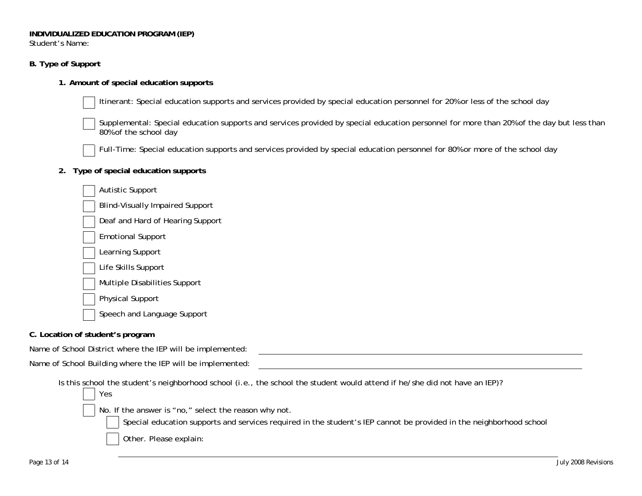## **B. Type of Support**

### **1. Amount of special education supports**

Supplemental: Special education supports and services provided by special education personnel for more than 20% of the day but less than 80% of the school day

Full-Time: Special education supports and services provided by special education personnel for 80% or more of the school day

### **2. Type of special education supports**

Autistic Support Blind-Visually Impaired Support Deaf and Hard of Hearing Support Emotional Support Learning Support Life Skills Support Multiple Disabilities Support Physical Support Speech and Language Support

## **C. Location of student's program**

Name of School District where the IEP will be implemented:

Name of School Building where the IEP will be implemented:

 Is this school the student's neighborhood school (i.e., the school the student would attend if he/she did not have an IEP)? Yes No. If the answer is "no," select the reason why not. Special education supports and services required in the student's IEP cannot be provided in the neighborhood school Other. Please explain: